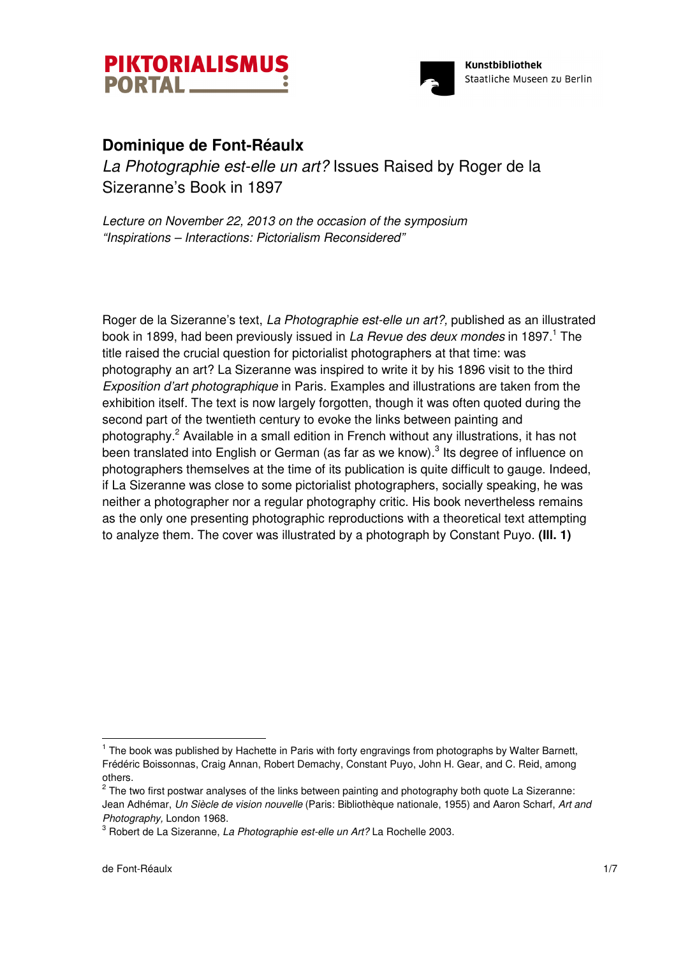



## **Dominique de Font-Réaulx**

La Photographie est-elle un art? Issues Raised by Roger de la Sizeranne's Book in 1897

Lecture on November 22, 2013 on the occasion of the symposium "Inspirations – Interactions: Pictorialism Reconsidered"

Roger de la Sizeranne's text, La Photographie est-elle un art?, published as an illustrated book in 1899, had been previously issued in *La Revue des deux mondes* in 1897.<sup>1</sup> The title raised the crucial question for pictorialist photographers at that time: was photography an art? La Sizeranne was inspired to write it by his 1896 visit to the third Exposition d'art photographique in Paris. Examples and illustrations are taken from the exhibition itself. The text is now largely forgotten, though it was often quoted during the second part of the twentieth century to evoke the links between painting and photography.<sup>2</sup> Available in a small edition in French without any illustrations, it has not been translated into English or German (as far as we know). $3$  Its degree of influence on photographers themselves at the time of its publication is quite difficult to gauge. Indeed, if La Sizeranne was close to some pictorialist photographers, socially speaking, he was neither a photographer nor a regular photography critic. His book nevertheless remains as the only one presenting photographic reproductions with a theoretical text attempting to analyze them. The cover was illustrated by a photograph by Constant Puyo. **(Ill. 1)** 

<sup>&</sup>lt;sup>1</sup> The book was published by Hachette in Paris with forty engravings from photographs by Walter Barnett, Frédéric Boissonnas, Craig Annan, Robert Demachy, Constant Puyo, John H. Gear, and C. Reid, among others.

 $2$  The two first postwar analyses of the links between painting and photography both quote La Sizeranne: Jean Adhémar, Un Siècle de vision nouvelle (Paris: Bibliothèque nationale, 1955) and Aaron Scharf, Art and Photography, London 1968.

 $^3$  Robert de La Sizeranne, *La Photographie est-elle un Art?* La Rochelle 2003.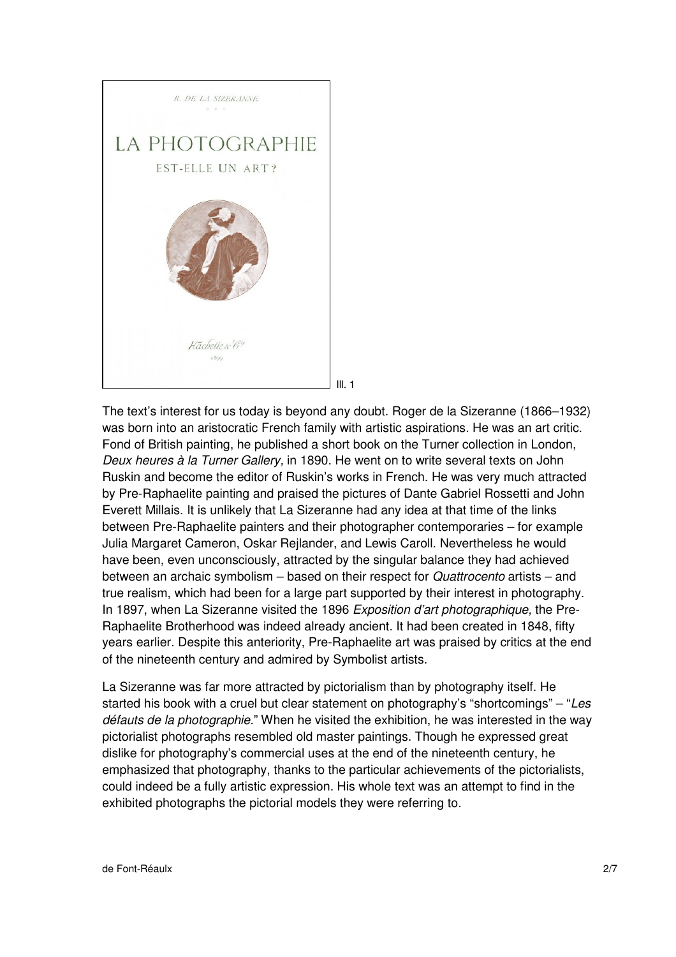

The text's interest for us today is beyond any doubt. Roger de la Sizeranne (1866–1932) was born into an aristocratic French family with artistic aspirations. He was an art critic. Fond of British painting, he published a short book on the Turner collection in London, Deux heures à la Turner Gallery, in 1890. He went on to write several texts on John Ruskin and become the editor of Ruskin's works in French. He was very much attracted by Pre-Raphaelite painting and praised the pictures of Dante Gabriel Rossetti and John Everett Millais. It is unlikely that La Sizeranne had any idea at that time of the links between Pre-Raphaelite painters and their photographer contemporaries – for example Julia Margaret Cameron, Oskar Rejlander, and Lewis Caroll. Nevertheless he would have been, even unconsciously, attracted by the singular balance they had achieved between an archaic symbolism – based on their respect for Quattrocento artists – and true realism, which had been for a large part supported by their interest in photography. In 1897, when La Sizeranne visited the 1896 Exposition d'art photographique, the Pre-Raphaelite Brotherhood was indeed already ancient. It had been created in 1848, fifty years earlier. Despite this anteriority, Pre-Raphaelite art was praised by critics at the end of the nineteenth century and admired by Symbolist artists.

La Sizeranne was far more attracted by pictorialism than by photography itself. He started his book with a cruel but clear statement on photography's "shortcomings" – "Les défauts de la photographie." When he visited the exhibition, he was interested in the way pictorialist photographs resembled old master paintings. Though he expressed great dislike for photography's commercial uses at the end of the nineteenth century, he emphasized that photography, thanks to the particular achievements of the pictorialists, could indeed be a fully artistic expression. His whole text was an attempt to find in the exhibited photographs the pictorial models they were referring to.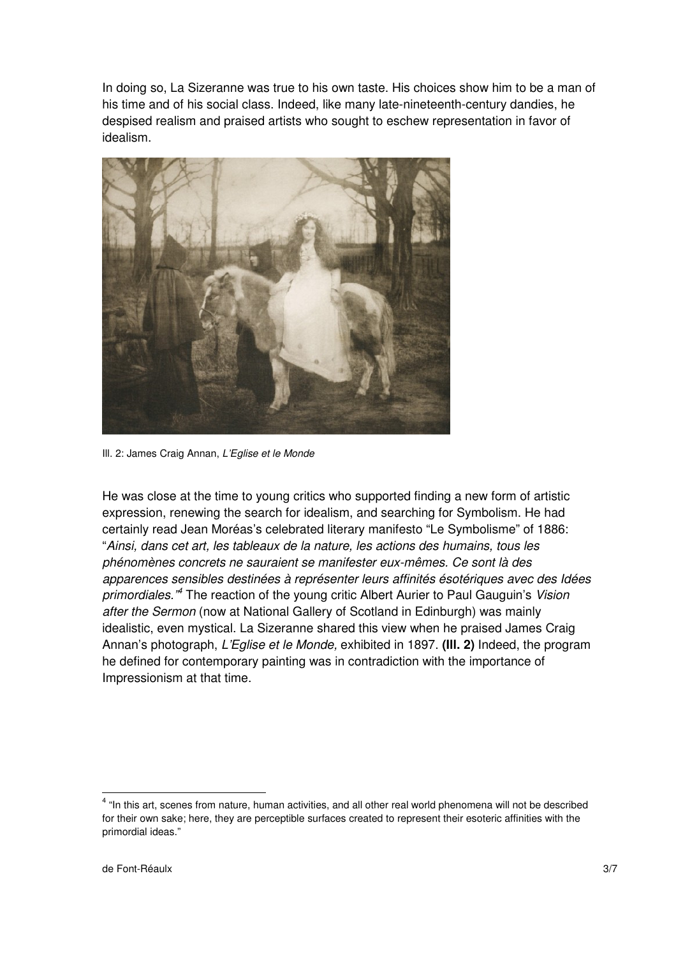In doing so, La Sizeranne was true to his own taste. His choices show him to be a man of his time and of his social class. Indeed, like many late-nineteenth-century dandies, he despised realism and praised artists who sought to eschew representation in favor of idealism.



Ill. 2: James Craig Annan, L'Eglise et le Monde

He was close at the time to young critics who supported finding a new form of artistic expression, renewing the search for idealism, and searching for Symbolism. He had certainly read Jean Moréas's celebrated literary manifesto "Le Symbolisme" of 1886: "Ainsi, dans cet art, les tableaux de la nature, les actions des humains, tous les phénomènes concrets ne sauraient se manifester eux-mêmes. Ce sont là des apparences sensibles destinées à représenter leurs affinités ésotériques avec des Idées primordiales.<sup>"4</sup> The reaction of the young critic Albert Aurier to Paul Gauguin's Vision after the Sermon (now at National Gallery of Scotland in Edinburgh) was mainly idealistic, even mystical. La Sizeranne shared this view when he praised James Craig Annan's photograph, L'Eglise et le Monde, exhibited in 1897. **(Ill. 2)** Indeed, the program he defined for contemporary painting was in contradiction with the importance of Impressionism at that time.

<sup>&</sup>lt;sup>4</sup> "In this art, scenes from nature, human activities, and all other real world phenomena will not be described for their own sake; here, they are perceptible surfaces created to represent their esoteric affinities with the primordial ideas."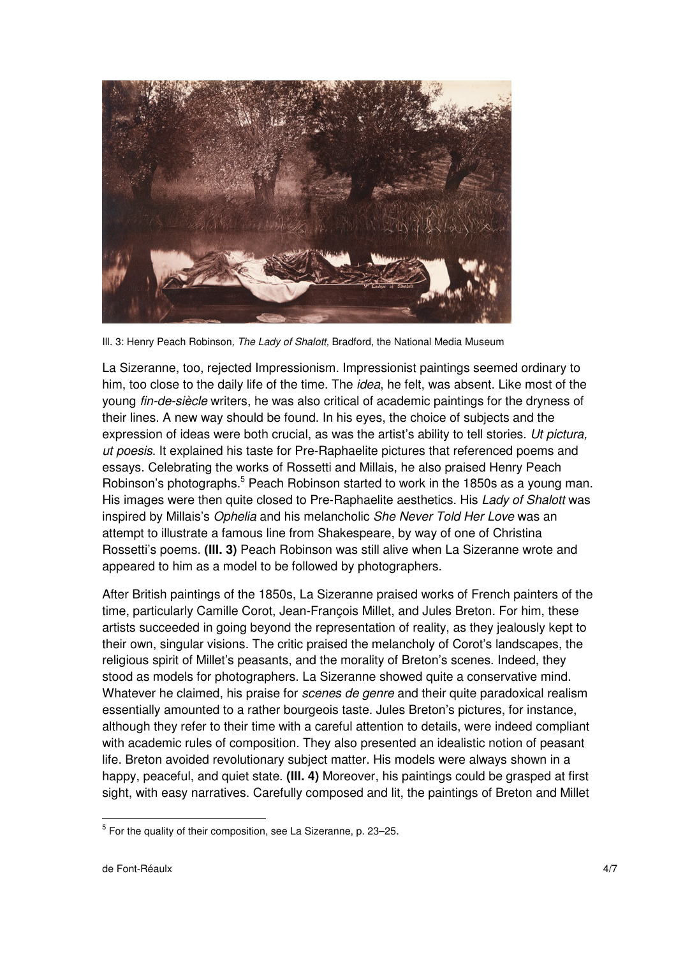

III. 3: Henry Peach Robinson, The Lady of Shalott, Bradford, the National Media Museum

La Sizeranne, too, rejected Impressionism. Impressionist paintings seemed ordinary to him, too close to the daily life of the time. The *idea*, he felt, was absent. Like most of the young fin-de-siècle writers, he was also critical of academic paintings for the dryness of their lines. A new way should be found. In his eyes, the choice of subjects and the expression of ideas were both crucial, as was the artist's ability to tell stories. Ut pictura, ut poesis. It explained his taste for Pre-Raphaelite pictures that referenced poems and essays. Celebrating the works of Rossetti and Millais, he also praised Henry Peach Robinson's photographs.<sup>5</sup> Peach Robinson started to work in the 1850s as a young man. His images were then quite closed to Pre-Raphaelite aesthetics. His Lady of Shalott was inspired by Millais's Ophelia and his melancholic She Never Told Her Love was an attempt to illustrate a famous line from Shakespeare, by way of one of Christina Rossetti's poems. **(Ill. 3)** Peach Robinson was still alive when La Sizeranne wrote and appeared to him as a model to be followed by photographers.

After British paintings of the 1850s, La Sizeranne praised works of French painters of the time, particularly Camille Corot, Jean-François Millet, and Jules Breton. For him, these artists succeeded in going beyond the representation of reality, as they jealously kept to their own, singular visions. The critic praised the melancholy of Corot's landscapes, the religious spirit of Millet's peasants, and the morality of Breton's scenes. Indeed, they stood as models for photographers. La Sizeranne showed quite a conservative mind. Whatever he claimed, his praise for *scenes de genre* and their quite paradoxical realism essentially amounted to a rather bourgeois taste. Jules Breton's pictures, for instance, although they refer to their time with a careful attention to details, were indeed compliant with academic rules of composition. They also presented an idealistic notion of peasant life. Breton avoided revolutionary subject matter. His models were always shown in a happy, peaceful, and quiet state. **(Ill. 4)** Moreover, his paintings could be grasped at first sight, with easy narratives. Carefully composed and lit, the paintings of Breton and Millet

<sup>&</sup>lt;sup>5</sup> For the quality of their composition, see La Sizeranne, p. 23–25.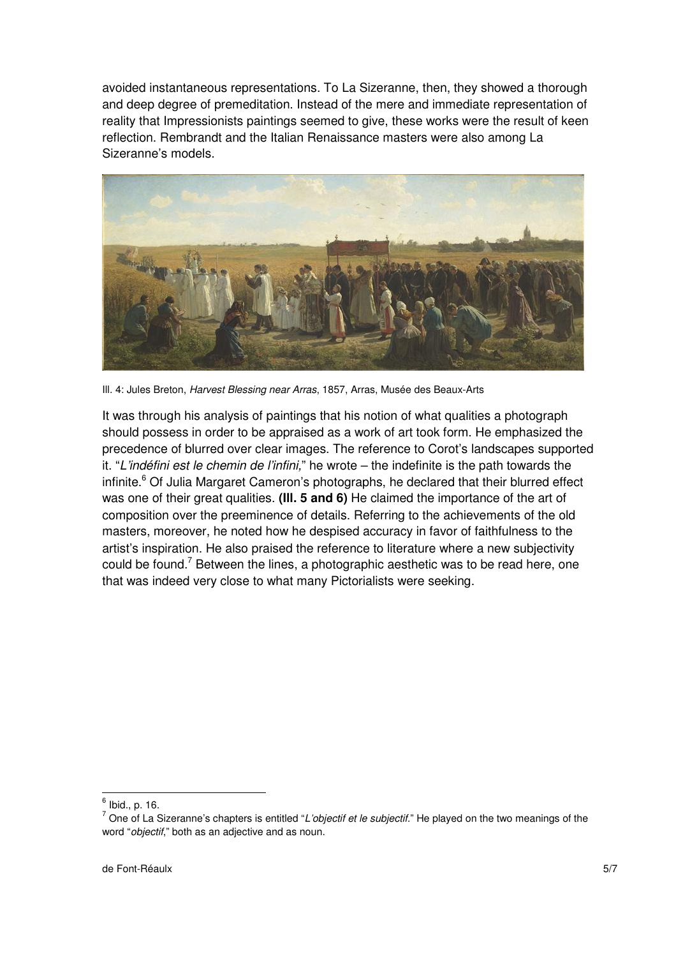avoided instantaneous representations. To La Sizeranne, then, they showed a thorough and deep degree of premeditation. Instead of the mere and immediate representation of reality that Impressionists paintings seemed to give, these works were the result of keen reflection. Rembrandt and the Italian Renaissance masters were also among La Sizeranne's models.



III. 4: Jules Breton, Harvest Blessing near Arras, 1857, Arras, Musée des Beaux-Arts

It was through his analysis of paintings that his notion of what qualities a photograph should possess in order to be appraised as a work of art took form. He emphasized the precedence of blurred over clear images. The reference to Corot's landscapes supported it. "L'indéfini est le chemin de l'infini," he wrote – the indefinite is the path towards the infinite.<sup>6</sup> Of Julia Margaret Cameron's photographs, he declared that their blurred effect was one of their great qualities. **(Ill. 5 and 6)** He claimed the importance of the art of composition over the preeminence of details. Referring to the achievements of the old masters, moreover, he noted how he despised accuracy in favor of faithfulness to the artist's inspiration. He also praised the reference to literature where a new subjectivity could be found.<sup>7</sup> Between the lines, a photographic aesthetic was to be read here, one that was indeed very close to what many Pictorialists were seeking.

 $^6$  Ibid., p. 16.

 $^7$  One of La Sizeranne's chapters is entitled "*L'objectif et le subjectif.*" He played on the two meanings of the word "objectif," both as an adjective and as noun.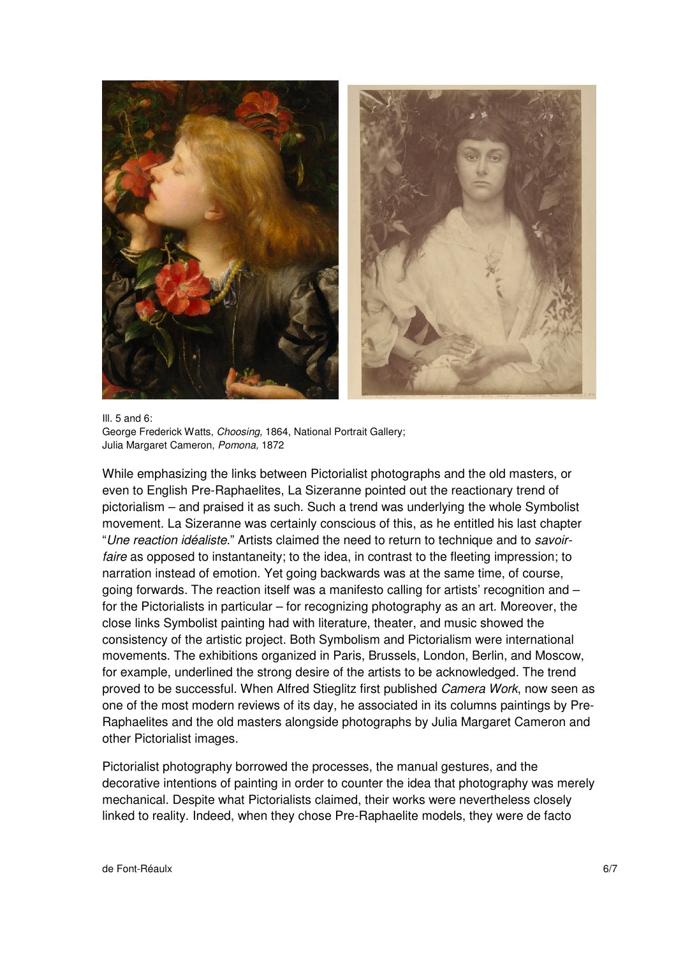

Ill. 5 and 6: George Frederick Watts, Choosing, 1864, National Portrait Gallery; Julia Margaret Cameron, Pomona, 1872

While emphasizing the links between Pictorialist photographs and the old masters, or even to English Pre-Raphaelites, La Sizeranne pointed out the reactionary trend of pictorialism – and praised it as such. Such a trend was underlying the whole Symbolist movement. La Sizeranne was certainly conscious of this, as he entitled his last chapter "Une reaction idéaliste." Artists claimed the need to return to technique and to savoirfaire as opposed to instantaneity; to the idea, in contrast to the fleeting impression; to narration instead of emotion. Yet going backwards was at the same time, of course, going forwards. The reaction itself was a manifesto calling for artists' recognition and – for the Pictorialists in particular – for recognizing photography as an art. Moreover, the close links Symbolist painting had with literature, theater, and music showed the consistency of the artistic project. Both Symbolism and Pictorialism were international movements. The exhibitions organized in Paris, Brussels, London, Berlin, and Moscow, for example, underlined the strong desire of the artists to be acknowledged. The trend proved to be successful. When Alfred Stieglitz first published Camera Work, now seen as one of the most modern reviews of its day, he associated in its columns paintings by Pre-Raphaelites and the old masters alongside photographs by Julia Margaret Cameron and other Pictorialist images.

Pictorialist photography borrowed the processes, the manual gestures, and the decorative intentions of painting in order to counter the idea that photography was merely mechanical. Despite what Pictorialists claimed, their works were nevertheless closely linked to reality. Indeed, when they chose Pre-Raphaelite models, they were de facto